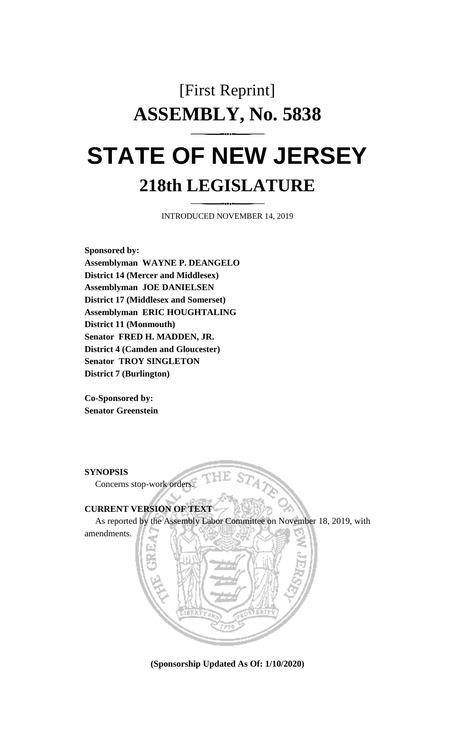## [First Reprint] **ASSEMBLY, No. 5838 STATE OF NEW JERSEY**

## **218th LEGISLATURE**

INTRODUCED NOVEMBER 14, 2019

**Sponsored by: Assemblyman WAYNE P. DEANGELO District 14 (Mercer and Middlesex) Assemblyman JOE DANIELSEN District 17 (Middlesex and Somerset) Assemblyman ERIC HOUGHTALING District 11 (Monmouth) Senator FRED H. MADDEN, JR. District 4 (Camden and Gloucester) Senator TROY SINGLETON District 7 (Burlington)**

**Co-Sponsored by: Senator Greenstein**

**SYNOPSIS**

amendments.

Concerns stop-work orders.

## **CURRENT VERSION OF TEXT**

As reported by the Assembly Labor Committee on November 18, 2019, with



**(Sponsorship Updated As Of: 1/10/2020)**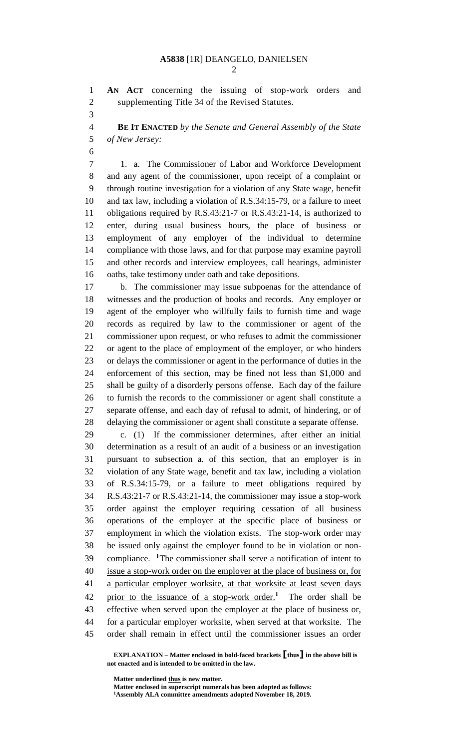**AN ACT** concerning the issuing of stop-work orders and supplementing Title 34 of the Revised Statutes.

 **BE IT ENACTED** *by the Senate and General Assembly of the State of New Jersey:*

 1. a. The Commissioner of Labor and Workforce Development and any agent of the commissioner, upon receipt of a complaint or through routine investigation for a violation of any State wage, benefit and tax law, including a violation of R.S.34:15-79, or a failure to meet obligations required by R.S.43:21-7 or R.S.43:21-14, is authorized to enter, during usual business hours, the place of business or employment of any employer of the individual to determine compliance with those laws, and for that purpose may examine payroll and other records and interview employees, call hearings, administer oaths, take testimony under oath and take depositions.

 b. The commissioner may issue subpoenas for the attendance of witnesses and the production of books and records. Any employer or agent of the employer who willfully fails to furnish time and wage records as required by law to the commissioner or agent of the commissioner upon request, or who refuses to admit the commissioner or agent to the place of employment of the employer, or who hinders or delays the commissioner or agent in the performance of duties in the enforcement of this section, may be fined not less than \$1,000 and shall be guilty of a disorderly persons offense. Each day of the failure to furnish the records to the commissioner or agent shall constitute a separate offense, and each day of refusal to admit, of hindering, or of delaying the commissioner or agent shall constitute a separate offense.

 c. (1) If the commissioner determines, after either an initial determination as a result of an audit of a business or an investigation pursuant to subsection a. of this section, that an employer is in violation of any State wage, benefit and tax law, including a violation of R.S.34:15-79, or a failure to meet obligations required by R.S.43:21-7 or R.S.43:21-14, the commissioner may issue a stop-work order against the employer requiring cessation of all business operations of the employer at the specific place of business or employment in which the violation exists. The stop-work order may be issued only against the employer found to be in violation or non-39 compliance. <sup>1</sup>The commissioner shall serve a notification of intent to issue a stop-work order on the employer at the place of business or, for a particular employer worksite, at that worksite at least seven days 42 prior to the issuance of a stop-work order.<sup>1</sup> The order shall be effective when served upon the employer at the place of business or, for a particular employer worksite, when served at that worksite. The order shall remain in effect until the commissioner issues an order

**EXPLANATION – Matter enclosed in bold-faced brackets [thus] in the above bill is not enacted and is intended to be omitted in the law.**

**Matter underlined thus is new matter.**

**Matter enclosed in superscript numerals has been adopted as follows: Assembly ALA committee amendments adopted November 18, 2019.**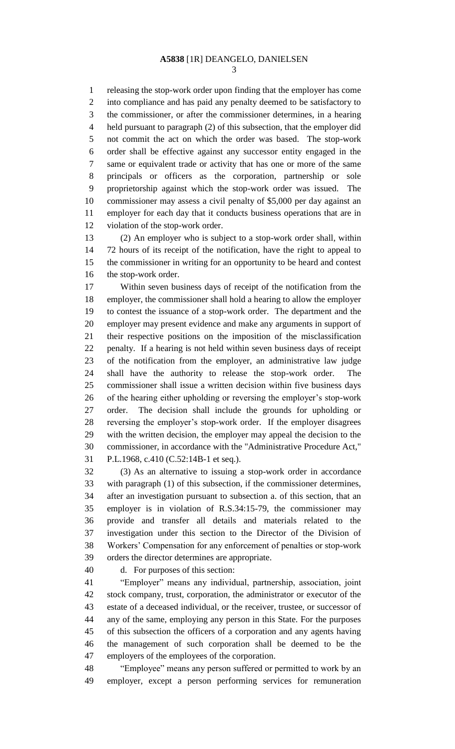releasing the stop-work order upon finding that the employer has come into compliance and has paid any penalty deemed to be satisfactory to the commissioner, or after the commissioner determines, in a hearing held pursuant to paragraph (2) of this subsection, that the employer did not commit the act on which the order was based. The stop-work order shall be effective against any successor entity engaged in the same or equivalent trade or activity that has one or more of the same principals or officers as the corporation, partnership or sole proprietorship against which the stop-work order was issued. The commissioner may assess a civil penalty of \$5,000 per day against an employer for each day that it conducts business operations that are in violation of the stop-work order.

 (2) An employer who is subject to a stop-work order shall, within 72 hours of its receipt of the notification, have the right to appeal to the commissioner in writing for an opportunity to be heard and contest the stop-work order.

 Within seven business days of receipt of the notification from the employer, the commissioner shall hold a hearing to allow the employer to contest the issuance of a stop-work order. The department and the employer may present evidence and make any arguments in support of their respective positions on the imposition of the misclassification penalty. If a hearing is not held within seven business days of receipt of the notification from the employer, an administrative law judge shall have the authority to release the stop-work order. The commissioner shall issue a written decision within five business days of the hearing either upholding or reversing the employer's stop-work order. The decision shall include the grounds for upholding or reversing the employer's stop-work order. If the employer disagrees with the written decision, the employer may appeal the decision to the commissioner, in accordance with the "Administrative Procedure Act," P.L.1968, c.410 (C.52:14B-1 et seq.).

 (3) As an alternative to issuing a stop-work order in accordance with paragraph (1) of this subsection, if the commissioner determines, after an investigation pursuant to subsection a. of this section, that an employer is in violation of R.S.34:15-79, the commissioner may provide and transfer all details and materials related to the investigation under this section to the Director of the Division of Workers' Compensation for any enforcement of penalties or stop-work orders the director determines are appropriate.

d. For purposes of this section:

 "Employer" means any individual, partnership, association, joint stock company, trust, corporation, the administrator or executor of the estate of a deceased individual, or the receiver, trustee, or successor of any of the same, employing any person in this State. For the purposes of this subsection the officers of a corporation and any agents having the management of such corporation shall be deemed to be the employers of the employees of the corporation.

 "Employee" means any person suffered or permitted to work by an employer, except a person performing services for remuneration